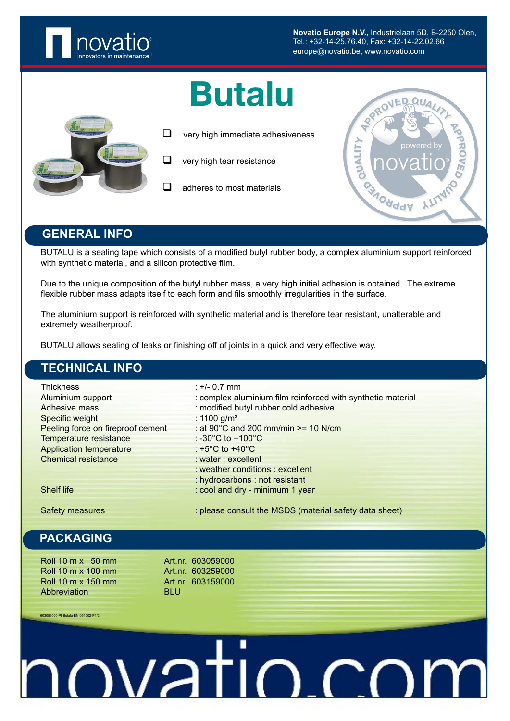

**Novatio Europe N.V.,** Industrielaan 5D, B-2250 Olen, Tel.: +32-14-25.76.40, Fax: +32-14-22.02.66 europe@novatio.be, www.novatio.com

### Butalu



 $\Box$  very high immediate adhesiveness

- $\Box$  very high tear resistance
- $\Box$  adheres to most materials



### **GENERAL INFO**

BUTALU is a sealing tape which consists of a modified butyl rubber body, a complex aluminium support reinforced with synthetic material, and a silicon protective film.

Due to the unique composition of the butyl rubber mass, a very high initial adhesion is obtained. The extreme flexible rubber mass adapts itself to each form and fils smoothly irregularities in the surface.

The aluminium support is reinforced with synthetic material and is therefore tear resistant, unalterable and extremely weatherproof.

BUTALU allows sealing of leaks or finishing off of joints in a quick and very effective way.

### **TECHNICAL INFO**

| <b>Thickness</b>                  | : $+/- 0.7$ mm                                              |
|-----------------------------------|-------------------------------------------------------------|
| Aluminium support                 | : complex aluminium film reinforced with synthetic material |
| Adhesive mass                     | : modified butyl rubber cold adhesive                       |
| Specific weight                   | : 1100 g/m <sup>2</sup>                                     |
| Peeling force on fireproof cement | : at 90 $^{\circ}$ C and 200 mm/min $\ge$ = 10 N/cm         |
| Temperature resistance            | : -30 $^{\circ}$ C to +100 $^{\circ}$ C                     |
| <b>Application temperature</b>    | : +5 $^{\circ}$ C to +40 $^{\circ}$ C                       |
| <b>Chemical resistance</b>        | $:$ water $:$ excellent                                     |
|                                   | : weather conditions : excellent                            |
|                                   | : hydrocarbons : not resistant                              |
| <b>Shelf life</b>                 | : cool and dry - minimum 1 year                             |
|                                   |                                                             |
| Safety measures                   | : please consult the MSDS (material safety data sheet)      |

### **PACKAGING**

| Roll $10 \text{ m} \times 50 \text{ mm}$ | Art.nr. 603059000 |
|------------------------------------------|-------------------|
| Roll 10 m x 100 mm                       | Art.nr. 603259000 |
| Roll 10 m x 150 mm                       | Art.nr. 603159000 |
| Abbreviation                             | <b>BLU</b>        |

603059000-PI-Butalu-EN-061002-P1/2

## <u>mustic co</u>